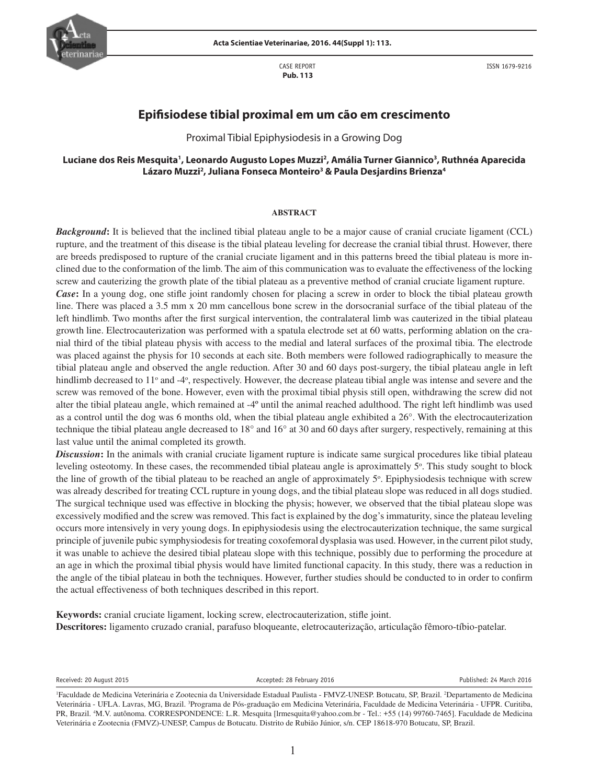

CASE REPORT  **Pub. 113**

ISSN 1679-9216

# **Epifisiodese tibial proximal em um cão em crescimento**

Proximal Tibial Epiphysiodesis in a Growing Dog

## **Luciane dos Reis Mesquita1 , Leonardo Augusto Lopes Muzzi2 , Amália Turner Giannico3 , Ruthnéa Aparecida Lázaro Muzzi2 , Juliana Fonseca Monteiro3 & Paula Desjardins Brienza4**

#### **ABSTRACT**

*Background*: It is believed that the inclined tibial plateau angle to be a major cause of cranial cruciate ligament (CCL) rupture, and the treatment of this disease is the tibial plateau leveling for decrease the cranial tibial thrust. However, there are breeds predisposed to rupture of the cranial cruciate ligament and in this patterns breed the tibial plateau is more inclined due to the conformation of the limb. The aim of this communication was to evaluate the effectiveness of the locking screw and cauterizing the growth plate of the tibial plateau as a preventive method of cranial cruciate ligament rupture.

*Case*: In a young dog, one stifle joint randomly chosen for placing a screw in order to block the tibial plateau growth line. There was placed a 3.5 mm x 20 mm cancellous bone screw in the dorsocranial surface of the tibial plateau of the left hindlimb. Two months after the first surgical intervention, the contralateral limb was cauterized in the tibial plateau growth line. Electrocauterization was performed with a spatula electrode set at 60 watts, performing ablation on the cranial third of the tibial plateau physis with access to the medial and lateral surfaces of the proximal tibia. The electrode was placed against the physis for 10 seconds at each site. Both members were followed radiographically to measure the tibial plateau angle and observed the angle reduction. After 30 and 60 days post-surgery, the tibial plateau angle in left hindlimb decreased to 11<sup>o</sup> and -4<sup>o</sup>, respectively. However, the decrease plateau tibial angle was intense and severe and the screw was removed of the bone. However, even with the proximal tibial physis still open, withdrawing the screw did not alter the tibial plateau angle, which remained at -4º until the animal reached adulthood. The right left hindlimb was used as a control until the dog was 6 months old, when the tibial plateau angle exhibited a 26°. With the electrocauterization technique the tibial plateau angle decreased to 18° and 16° at 30 and 60 days after surgery, respectively, remaining at this last value until the animal completed its growth.

*Discussion*: In the animals with cranial cruciate ligament rupture is indicate same surgical procedures like tibial plateau leveling osteotomy. In these cases, the recommended tibial plateau angle is aproximattely 5°. This study sought to block the line of growth of the tibial plateau to be reached an angle of approximately  $5^\circ$ . Epiphysiodesis technique with screw was already described for treating CCL rupture in young dogs, and the tibial plateau slope was reduced in all dogs studied. The surgical technique used was effective in blocking the physis; however, we observed that the tibial plateau slope was excessively modified and the screw was removed. This fact is explained by the dog's immaturity, since the plateau leveling occurs more intensively in very young dogs. In epiphysiodesis using the electrocauterization technique, the same surgical principle of juvenile pubic symphysiodesis for treating coxofemoral dysplasia was used. However, in the current pilot study, it was unable to achieve the desired tibial plateau slope with this technique, possibly due to performing the procedure at an age in which the proximal tibial physis would have limited functional capacity. In this study, there was a reduction in the angle of the tibial plateau in both the techniques. However, further studies should be conducted to in order to confirm the actual effectiveness of both techniques described in this report.

**Keywords:** cranial cruciate ligament, locking screw, electrocauterization, stifle joint. **Descritores:** ligamento cruzado cranial, parafuso bloqueante, eletrocauterização, articulação fêmoro-tíbio-patelar.

Received: 20 August 2015 **Accepted: 28 February 2016** Published: 24 March 2016

<sup>1</sup> Faculdade de Medicina Veterinária e Zootecnia da Universidade Estadual Paulista - FMVZ-UNESP. Botucatu, SP, Brazil. 2 Departamento de Medicina Veterinária - UFLA. Lavras, MG, Brazil. <sup>3</sup>Programa de Pós-graduação em Medicina Veterinária, Faculdade de Medicina Veterinária - UFPR. Curitiba, PR, Brazil. <sup>4</sup>M.V. autônoma. CORRESPONDENCE: L.R. Mesquita [lrmesquita@yahoo.com.br - Tel.: +55 (14) 99760-7465]. Faculdade de Medicina Veterinária e Zootecnia (FMVZ)-UNESP, Campus de Botucatu. Distrito de Rubião Júnior, s/n. CEP 18618-970 Botucatu, SP, Brazil.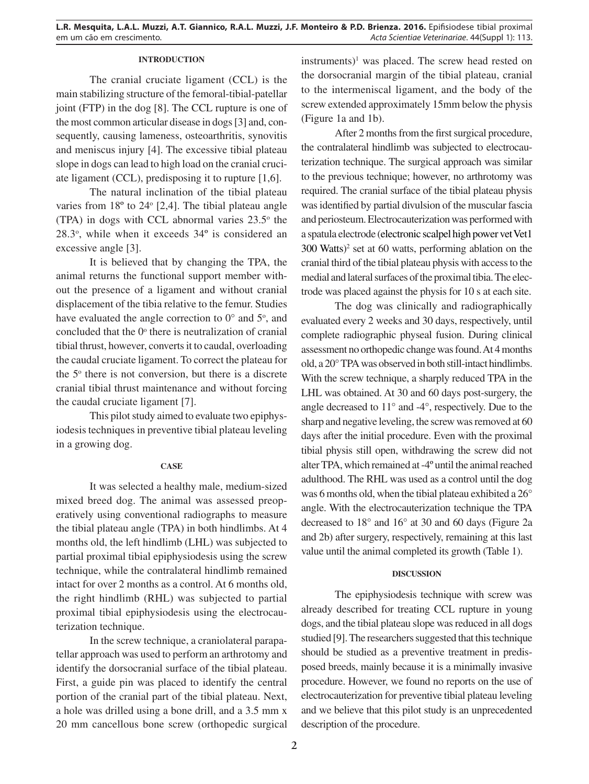## **INTRODUCTION**

The cranial cruciate ligament (CCL) is the main stabilizing structure of the femoral-tibial-patellar joint (FTP) in the dog [8]. The CCL rupture is one of the most common articular disease in dogs [3] and, consequently, causing lameness, osteoarthritis, synovitis and meniscus injury [4]. The excessive tibial plateau slope in dogs can lead to high load on the cranial cruciate ligament (CCL), predisposing it to rupture [1,6].

The natural inclination of the tibial plateau varies from  $18^{\circ}$  to  $24^{\circ}$  [2,4]. The tibial plateau angle (TPA) in dogs with CCL abnormal varies  $23.5^\circ$  the  $28.3^{\circ}$ , while when it exceeds  $34^{\circ}$  is considered an excessive angle [3].

It is believed that by changing the TPA, the animal returns the functional support member without the presence of a ligament and without cranial displacement of the tibia relative to the femur. Studies have evaluated the angle correction to  $0^{\circ}$  and  $5^{\circ}$ , and concluded that the  $0^\circ$  there is neutralization of cranial tibial thrust, however, converts it to caudal, overloading the caudal cruciate ligament. To correct the plateau for the  $5^\circ$  there is not conversion, but there is a discrete cranial tibial thrust maintenance and without forcing the caudal cruciate ligament [7].

This pilot study aimed to evaluate two epiphysiodesis techniques in preventive tibial plateau leveling in a growing dog.

#### **CASE**

It was selected a healthy male, medium-sized mixed breed dog. The animal was assessed preoperatively using conventional radiographs to measure the tibial plateau angle (TPA) in both hindlimbs. At 4 months old, the left hindlimb (LHL) was subjected to partial proximal tibial epiphysiodesis using the screw technique, while the contralateral hindlimb remained intact for over 2 months as a control. At 6 months old, the right hindlimb (RHL) was subjected to partial proximal tibial epiphysiodesis using the electrocauterization technique.

In the screw technique, a craniolateral parapatellar approach was used to perform an arthrotomy and identify the dorsocranial surface of the tibial plateau. First, a guide pin was placed to identify the central portion of the cranial part of the tibial plateau. Next, a hole was drilled using a bone drill, and a 3.5 mm x 20 mm cancellous bone screw (orthopedic surgical

 $in$ struments $)^1$  was placed. The screw head rested on the dorsocranial margin of the tibial plateau, cranial to the intermeniscal ligament, and the body of the screw extended approximately 15mm below the physis (Figure 1a and 1b).

After 2 months from the first surgical procedure, the contralateral hindlimb was subjected to electrocauterization technique. The surgical approach was similar to the previous technique; however, no arthrotomy was required. The cranial surface of the tibial plateau physis was identified by partial divulsion of the muscular fascia and periosteum. Electrocauterization was performed with a spatula electrode (electronic scalpel high power vet Vet1 300 Watts) 2 set at 60 watts, performing ablation on the cranial third of the tibial plateau physis with access to the medial and lateral surfaces of the proximal tibia. The electrode was placed against the physis for 10 s at each site.

The dog was clinically and radiographically evaluated every 2 weeks and 30 days, respectively, until complete radiographic physeal fusion. During clinical assessment no orthopedic change was found. At 4 months old, a 20° TPA was observed in both still-intact hindlimbs. With the screw technique, a sharply reduced TPA in the LHL was obtained. At 30 and 60 days post-surgery, the angle decreased to 11° and -4°, respectively. Due to the sharp and negative leveling, the screw was removed at 60 days after the initial procedure. Even with the proximal tibial physis still open, withdrawing the screw did not alter TPA, which remained at -4º until the animal reached adulthood. The RHL was used as a control until the dog was 6 months old, when the tibial plateau exhibited a 26° angle. With the electrocauterization technique the TPA decreased to 18° and 16° at 30 and 60 days (Figure 2a and 2b) after surgery, respectively, remaining at this last value until the animal completed its growth (Table 1).

## **DISCUSSION**

The epiphysiodesis technique with screw was already described for treating CCL rupture in young dogs, and the tibial plateau slope was reduced in all dogs studied [9]. The researchers suggested that this technique should be studied as a preventive treatment in predisposed breeds, mainly because it is a minimally invasive procedure. However, we found no reports on the use of electrocauterization for preventive tibial plateau leveling and we believe that this pilot study is an unprecedented description of the procedure.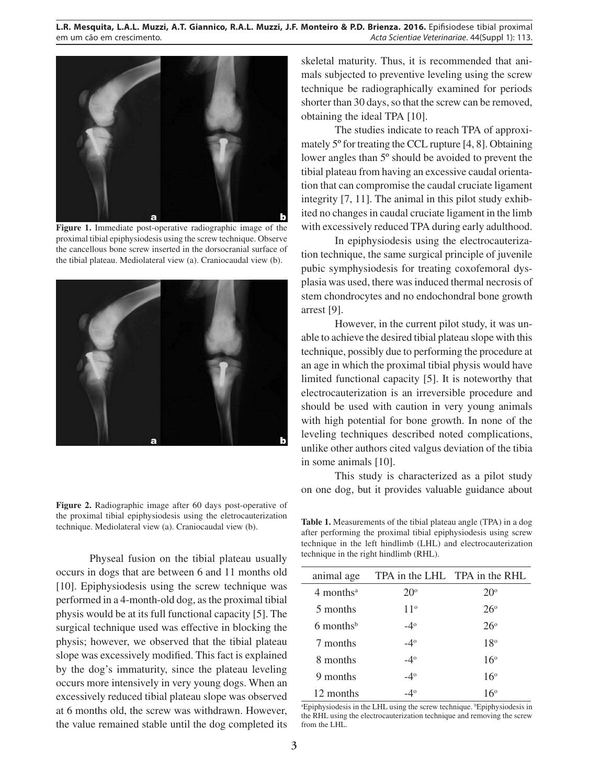

**Figure 1.** Immediate post-operative radiographic image of the proximal tibial epiphysiodesis using the screw technique. Observe the cancellous bone screw inserted in the dorsocranial surface of the tibial plateau. Mediolateral view (a). Craniocaudal view (b).



**Figure 2.** Radiographic image after 60 days post-operative of the proximal tibial epiphysiodesis using the eletrocauterization technique. Mediolateral view (a). Craniocaudal view (b). **Table 1.** Measurements of the tibial plateau angle (TPA) in a dog

Physeal fusion on the tibial plateau usually occurs in dogs that are between 6 and 11 months old [10]. Epiphysiodesis using the screw technique was performed in a 4-month-old dog, as the proximal tibial physis would be at its full functional capacity [5]. The surgical technique used was effective in blocking the physis; however, we observed that the tibial plateau slope was excessively modified. This fact is explained by the dog's immaturity, since the plateau leveling occurs more intensively in very young dogs. When an excessively reduced tibial plateau slope was observed at 6 months old, the screw was withdrawn. However, the value remained stable until the dog completed its

skeletal maturity. Thus, it is recommended that animals subjected to preventive leveling using the screw technique be radiographically examined for periods shorter than 30 days, so that the screw can be removed, obtaining the ideal TPA [10].

The studies indicate to reach TPA of approximately 5º for treating the CCL rupture [4, 8]. Obtaining lower angles than 5º should be avoided to prevent the tibial plateau from having an excessive caudal orientation that can compromise the caudal cruciate ligament integrity [7, 11]. The animal in this pilot study exhibited no changes in caudal cruciate ligament in the limb with excessively reduced TPA during early adulthood.

In epiphysiodesis using the electrocauterization technique, the same surgical principle of juvenile pubic symphysiodesis for treating coxofemoral dysplasia was used, there was induced thermal necrosis of stem chondrocytes and no endochondral bone growth arrest [9].

However, in the current pilot study, it was unable to achieve the desired tibial plateau slope with this technique, possibly due to performing the procedure at an age in which the proximal tibial physis would have limited functional capacity [5]. It is noteworthy that electrocauterization is an irreversible procedure and should be used with caution in very young animals with high potential for bone growth. In none of the leveling techniques described noted complications, unlike other authors cited valgus deviation of the tibia in some animals [10].

This study is characterized as a pilot study on one dog, but it provides valuable guidance about

after performing the proximal tibial epiphysiodesis using screw technique in the left hindlimb (LHL) and electrocauterization technique in the right hindlimb (RHL).

| animal age              |              | TPA in the LHL TPA in the RHL |
|-------------------------|--------------|-------------------------------|
| $4$ months <sup>a</sup> | $20^{\circ}$ | $20^{\circ}$                  |
| 5 months                | $11^{\circ}$ | $26^\circ$                    |
| $6$ months <sup>b</sup> | $-4^\circ$   | $26^\circ$                    |
| 7 months                | $-4^\circ$   | $18^{\circ}$                  |
| 8 months                | $-4^{\circ}$ | 16 <sup>°</sup>               |
| 9 months                | $-4^\circ$   | $16^{\circ}$                  |
| 12 months               | -4°          | $16^{\circ}$                  |

<sup>a</sup>Epiphysiodesis in the LHL using the screw technique. <sup>b</sup>Epiphysiodesis in the RHL using the electrocauterization technique and removing the screw from the LHL.